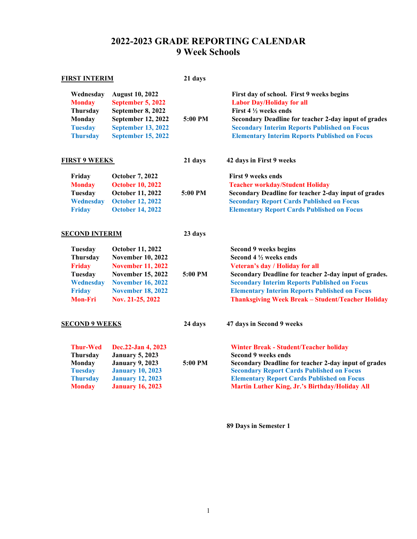## **2022-2023 GRADE REPORTING CALENDAR 9 Week Schools**

| <b>FIRST INTERIM</b>  |                           | 21 days |                                                          |
|-----------------------|---------------------------|---------|----------------------------------------------------------|
| Wednesday             | <b>August 10, 2022</b>    | 5:00 PM | First day of school. First 9 weeks begins                |
| <b>Monday</b>         | <b>September 5, 2022</b>  |         | <b>Labor Day/Holiday for all</b>                         |
| Thursday              | September 8, 2022         |         | First 4 1/2 weeks ends                                   |
| <b>Monday</b>         | September 12, 2022        |         | Secondary Deadline for teacher 2-day input of grades     |
| <b>Tuesday</b>        | <b>September 13, 2022</b> |         | <b>Secondary Interim Reports Published on Focus</b>      |
| <b>Thursday</b>       | <b>September 15, 2022</b> |         | <b>Elementary Interim Reports Published on Focus</b>     |
| <b>FIRST 9 WEEKS</b>  |                           | 21 days | 42 days in First 9 weeks                                 |
| Friday                | <b>October 7, 2022</b>    | 5:00 PM | <b>First 9 weeks ends</b>                                |
| <b>Monday</b>         | <b>October 10, 2022</b>   |         | <b>Teacher workday/Student Holiday</b>                   |
| Tuesday               | October 11, 2022          |         | Secondary Deadline for teacher 2-day input of grades     |
| Wednesday             | <b>October 12, 2022</b>   |         | <b>Secondary Report Cards Published on Focus</b>         |
| <b>Friday</b>         | <b>October 14, 2022</b>   |         | <b>Elementary Report Cards Published on Focus</b>        |
| <b>SECOND INTERIM</b> |                           | 23 days |                                                          |
| Tuesday               | October 11, 2022          | 5:00 PM | Second 9 weeks begins                                    |
| Thursday              | <b>November 10, 2022</b>  |         | Second 4 1/2 weeks ends                                  |
| <b>Friday</b>         | <b>November 11, 2022</b>  |         | Veteran's day / Holiday for all                          |
| Tuesday               | <b>November 15, 2022</b>  |         | Secondary Deadline for teacher 2-day input of grades.    |
| Wednesday             | <b>November 16, 2022</b>  |         | <b>Secondary Interim Reports Published on Focus</b>      |
| <b>Friday</b>         | <b>November 18, 2022</b>  |         | <b>Elementary Interim Reports Published on Focus</b>     |
| <b>Mon-Fri</b>        | Nov. 21-25, 2022          |         | <b>Thanksgiving Week Break - Student/Teacher Holiday</b> |
| <b>SECOND 9 WEEKS</b> |                           | 24 days | 47 days in Second 9 weeks                                |
| <b>Thur-Wed</b>       | Dec.22-Jan 4, 2023        | 5:00 PM | <b>Winter Break - Student/Teacher holiday</b>            |
| Thursday              | <b>January 5, 2023</b>    |         | <b>Second 9 weeks ends</b>                               |
| <b>Monday</b>         | <b>January 9, 2023</b>    |         | Secondary Deadline for teacher 2-day input of grades     |
| <b>Tuesday</b>        | <b>January 10, 2023</b>   |         | <b>Secondary Report Cards Published on Focus</b>         |
| <b>Thursday</b>       | <b>January 12, 2023</b>   |         | <b>Elementary Report Cards Published on Focus</b>        |
| <b>Monday</b>         | <b>January 16, 2023</b>   |         | Martin Luther King, Jr.'s Birthday/Holiday All           |

**89 Days in Semester 1**